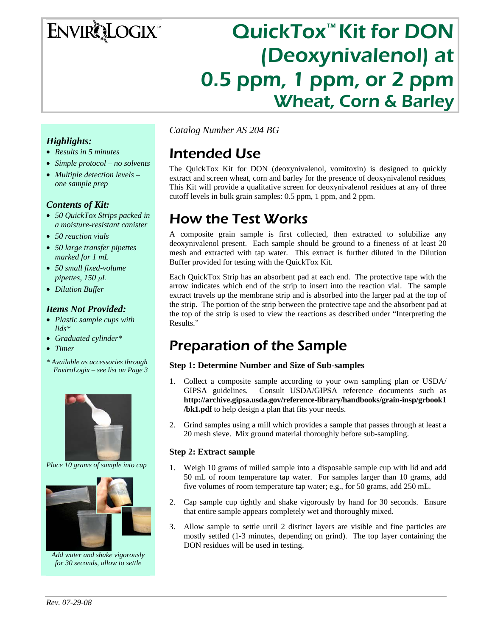# ENVIRQLOGIX

# QuickTox<sup>™</sup> Kit for DON (Deoxynivalenol) at 0.5 ppm, 1 ppm, or 2 ppm Wheat, Corn & Barley

### *Highlights:*

- *Results in 5 minutes*
- *Simple protocol no solvents*
- *Multiple detection levels one sample prep*

### *Contents of Kit:*

- *50 QuickTox Strips packed in a moisture-resistant canister*
- *50 reaction vials*
- *50 large transfer pipettes marked for 1 mL*
- *50 small fixed-volume pipettes, 150* μ*L*
- *Dilution Buffer*

### *Items Not Provided:*

- *Plastic sample cups with lids\**
- *Graduated cylinder\**
- *Timer*
- *\* Available as accessories through EnviroLogix – see list on Page 3*



*Place 10 grams of sample into cup* 



*Add water and shake vigorously for 30 seconds, allow to settle* 

*Catalog Number AS 204 BG* 

## Intended Use

The QuickTox Kit for DON (deoxynivalenol, vomitoxin) is designed to quickly extract and screen wheat, corn and barley for the presence of deoxynivalenol residues. This Kit will provide a qualitative screen for deoxynivalenol residues at any of three cutoff levels in bulk grain samples: 0.5 ppm, 1 ppm, and 2 ppm.

# How the Test Works

A composite grain sample is first collected, then extracted to solubilize any deoxynivalenol present. Each sample should be ground to a fineness of at least 20 mesh and extracted with tap water. This extract is further diluted in the Dilution Buffer provided for testing with the QuickTox Kit.

Each QuickTox Strip has an absorbent pad at each end. The protective tape with the arrow indicates which end of the strip to insert into the reaction vial. The sample extract travels up the membrane strip and is absorbed into the larger pad at the top of the strip. The portion of the strip between the protective tape and the absorbent pad at the top of the strip is used to view the reactions as described under "Interpreting the Results."

## Preparation of the Sample

#### **Step 1: Determine Number and Size of Sub-samples**

- 1. Collect a composite sample according to your own sampling plan or USDA/ GIPSA guidelines. Consult USDA/GIPSA reference documents such as **http://archive.gipsa.usda.gov/reference-library/handbooks/grain-insp/grbook1 /bk1.pdf** to help design a plan that fits your needs.
- 2. Grind samples using a mill which provides a sample that passes through at least a 20 mesh sieve. Mix ground material thoroughly before sub-sampling.

#### **Step 2: Extract sample**

- 1. Weigh 10 grams of milled sample into a disposable sample cup with lid and add 50 mL of room temperature tap water. For samples larger than 10 grams, add five volumes of room temperature tap water; e.g., for 50 grams, add 250 mL.
- 2. Cap sample cup tightly and shake vigorously by hand for 30 seconds. Ensure that entire sample appears completely wet and thoroughly mixed.
- 3. Allow sample to settle until 2 distinct layers are visible and fine particles are mostly settled (1-3 minutes, depending on grind). The top layer containing the DON residues will be used in testing.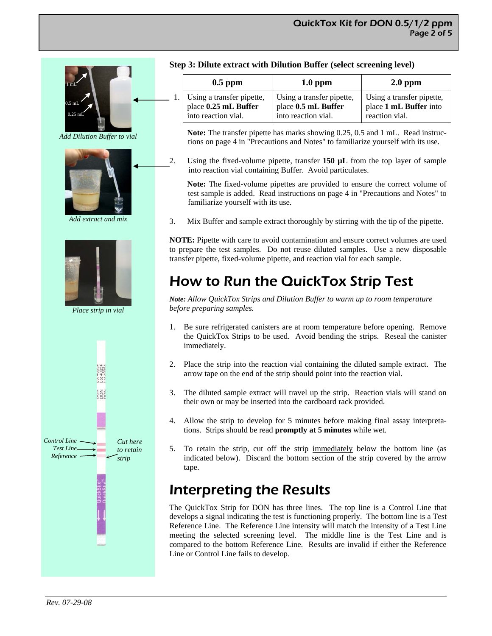

*Add extract and mix* 



*Place strip in vial* 



#### **Step 3: Dilute extract with Dilution Buffer (select screening level)**

| $0.5$ ppm                    | $1.0$ ppm                 | $2.0$ ppm                 |
|------------------------------|---------------------------|---------------------------|
| 1. Using a transfer pipette, | Using a transfer pipette, | Using a transfer pipette, |
| place 0.25 mL Buffer         | place 0.5 mL Buffer       | place 1 mL Buffer into    |
| into reaction vial.          | into reaction vial.       | reaction vial.            |

 **Note:** The transfer pipette has marks showing 0.25, 0.5 and 1 mL. Read instructions on page 4 in "Precautions and Notes" to familiarize yourself with its use.

2. Using the fixed-volume pipette, transfer **150 µL** from the top layer of sample into reaction vial containing Buffer. Avoid particulates.

 **Note:** The fixed-volume pipettes are provided to ensure the correct volume of test sample is added. Read instructions on page 4 in "Precautions and Notes" to familiarize yourself with its use.

3. Mix Buffer and sample extract thoroughly by stirring with the tip of the pipette.

**NOTE:** Pipette with care to avoid contamination and ensure correct volumes are used to prepare the test samples. Do not reuse diluted samples. Use a new disposable transfer pipette, fixed-volume pipette, and reaction vial for each sample.

### How to Run the QuickTox Strip Test

*Note: Allow QuickTox Strips and Dilution Buffer to warm up to room temperature before preparing samples.* 

- 1. Be sure refrigerated canisters are at room temperature before opening. Remove the QuickTox Strips to be used. Avoid bending the strips. Reseal the canister immediately.
- 2. Place the strip into the reaction vial containing the diluted sample extract. The arrow tape on the end of the strip should point into the reaction vial.
- 3. The diluted sample extract will travel up the strip. Reaction vials will stand on their own or may be inserted into the cardboard rack provided.
- 4. Allow the strip to develop for 5 minutes before making final assay interpretations. Strips should be read **promptly at 5 minutes** while wet.
- 5. To retain the strip, cut off the strip immediately below the bottom line (as indicated below). Discard the bottom section of the strip covered by the arrow tape.

### Interpreting the Results

The QuickTox Strip for DON has three lines. The top line is a Control Line that develops a signal indicating the test is functioning properly. The bottom line is a Test Reference Line. The Reference Line intensity will match the intensity of a Test Line meeting the selected screening level. The middle line is the Test Line and is compared to the bottom Reference Line. Results are invalid if either the Reference Line or Control Line fails to develop.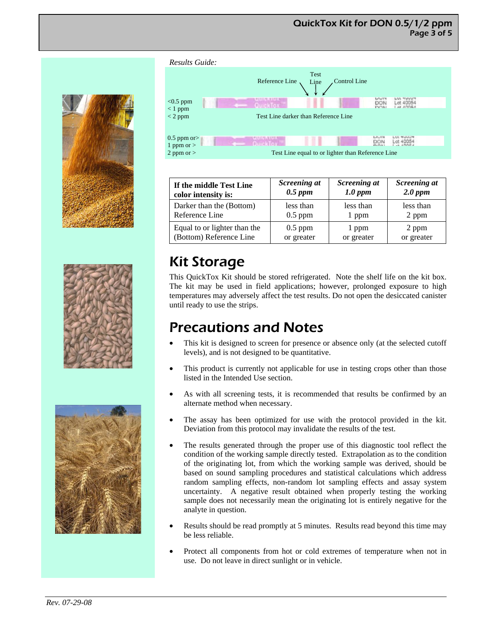### QuickTox Kit for DON 0.5/1/2 ppm Page 3 of 5









| If the middle Test Line      | Screening at | Screening at | Screening at |
|------------------------------|--------------|--------------|--------------|
| color intensity is:          | $0.5$ ppm    | $1.0$ ppm    | $2.0$ ppm    |
| Darker than the (Bottom)     | less than    | less than    | less than    |
| Reference Line               | $0.5$ ppm    | 1 ppm        | 2 ppm        |
| Equal to or lighter than the | $0.5$ ppm    | 1 ppm        | 2 ppm        |
| (Bottom) Reference Line      | or greater   | or greater   | or greater   |

# Kit Storage

This QuickTox Kit should be stored refrigerated. Note the shelf life on the kit box. The kit may be used in field applications; however, prolonged exposure to high temperatures may adversely affect the test results. Do not open the desiccated canister until ready to use the strips.

# Precautions and Notes

- This kit is designed to screen for presence or absence only (at the selected cutoff levels), and is not designed to be quantitative.
- This product is currently not applicable for use in testing crops other than those listed in the Intended Use section.
- As with all screening tests, it is recommended that results be confirmed by an alternate method when necessary.
- The assay has been optimized for use with the protocol provided in the kit. Deviation from this protocol may invalidate the results of the test.
- The results generated through the proper use of this diagnostic tool reflect the condition of the working sample directly tested. Extrapolation as to the condition of the originating lot, from which the working sample was derived, should be based on sound sampling procedures and statistical calculations which address random sampling effects, non-random lot sampling effects and assay system uncertainty. A negative result obtained when properly testing the working sample does not necessarily mean the originating lot is entirely negative for the analyte in question.
- Results should be read promptly at 5 minutes. Results read beyond this time may be less reliable.
- Protect all components from hot or cold extremes of temperature when not in use. Do not leave in direct sunlight or in vehicle.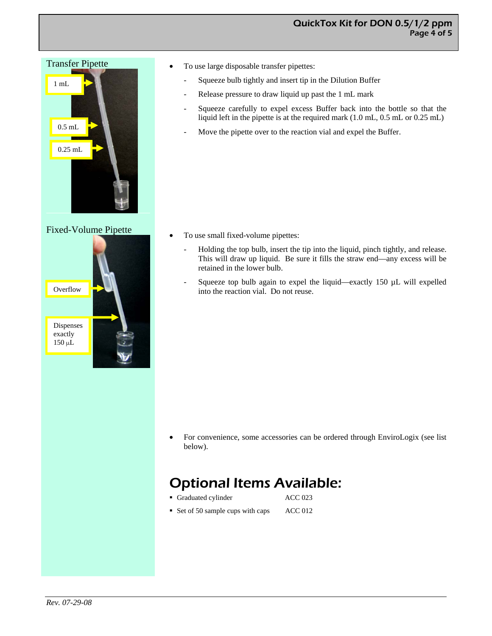### Transfer Pipette



### Fixed-Volume Pipette



- To use large disposable transfer pipettes:
	- Squeeze bulb tightly and insert tip in the Dilution Buffer
	- Release pressure to draw liquid up past the 1 mL mark
	- Squeeze carefully to expel excess Buffer back into the bottle so that the liquid left in the pipette is at the required mark (1.0 mL, 0.5 mL or 0.25 mL)
	- Move the pipette over to the reaction vial and expel the Buffer.

- To use small fixed-volume pipettes:
	- Holding the top bulb, insert the tip into the liquid, pinch tightly, and release. This will draw up liquid. Be sure it fills the straw end—any excess will be retained in the lower bulb.
	- Squeeze top bulb again to expel the liquid—exactly 150 µL will expelled into the reaction vial. Do not reuse.

• For convenience, some accessories can be ordered through EnviroLogix (see list below).

### Optional Items Available:

- Graduated cylinder ACC 023
- Set of 50 sample cups with caps ACC 012